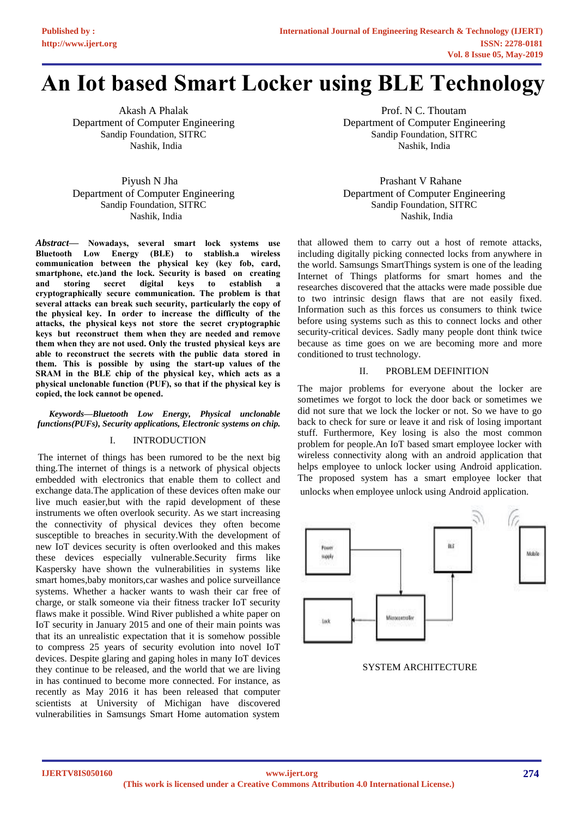# **An Iot based Smart Locker using BLE Technology**

Akash A Phalak Department of Computer Engineering Sandip Foundation, SITRC Nashik, India

 Piyush N Jha Department of Computer Engineering Sandip Foundation, SITRC Nashik, India

*Abstract***— Nowadays, several smart lock systems use Bluetooth Low Energy (BLE) to stablish.a wireless communication between the physical key (key fob, card, smartphone, etc.)and the lock. Security is based on creating**  and storing secret digital keys to establish **cryptographically secure communication. The problem is that several attacks can break such security, particularly the copy of the physical key. In order to increase the difficulty of the attacks, the physical keys not store the secret cryptographic keys but reconstruct them when they are needed and remove them when they are not used. Only the trusted physical keys are able to reconstruct the secrets with the public data stored in them. This is possible by using the start-up values of the SRAM in the BLE chip of the physical key, which acts as a physical unclonable function (PUF), so that if the physical key is copied, the lock cannot be opened.** 

# *Keywords—Bluetooth Low Energy, Physical unclonable functions(PUFs), Security applications, Electronic systems on chip.*

## I. INTRODUCTION

The internet of things has been rumored to be the next big thing.The internet of things is a network of physical objects embedded with electronics that enable them to collect and exchange data.The application of these devices often make our live much easier,but with the rapid development of these instruments we often overlook security. As we start increasing the connectivity of physical devices they often become susceptible to breaches in security.With the development of new IoT devices security is often overlooked and this makes these devices especially vulnerable.Security firms like Kaspersky have shown the vulnerabilities in systems like smart homes,baby monitors,car washes and police surveillance systems. Whether a hacker wants to wash their car free of charge, or stalk someone via their fitness tracker IoT security flaws make it possible. Wind River published a white paper on IoT security in January 2015 and one of their main points was that its an unrealistic expectation that it is somehow possible to compress 25 years of security evolution into novel IoT devices. Despite glaring and gaping holes in many IoT devices they continue to be released, and the world that we are living in has continued to become more connected. For instance, as recently as May 2016 it has been released that computer scientists at University of Michigan have discovered vulnerabilities in Samsungs Smart Home automation system

 Prof. N C. Thoutam Department of Computer Engineering Sandip Foundation, SITRC Nashik, India

 Prashant V Rahane Department of Computer Engineering Sandip Foundation, SITRC Nashik, India

that allowed them to carry out a host of remote attacks, including digitally picking connected locks from anywhere in the world. Samsungs SmartThings system is one of the leading Internet of Things platforms for smart homes and the researches discovered that the attacks were made possible due to two intrinsic design flaws that are not easily fixed. Information such as this forces us consumers to think twice before using systems such as this to connect locks and other security-critical devices. Sadly many people dont think twice because as time goes on we are becoming more and more conditioned to trust technology.

#### II. PROBLEM DEFINITION

The major problems for everyone about the locker are sometimes we forgot to lock the door back or sometimes we did not sure that we lock the locker or not. So we have to go back to check for sure or leave it and risk of losing important stuff. Furthermore, Key losing is also the most common problem for people.An IoT based smart employee locker with wireless connectivity along with an android application that helps employee to unlock locker using Android application. The proposed system has a smart employee locker that unlocks when employee unlock using Android application.



SYSTEM ARCHITECTURE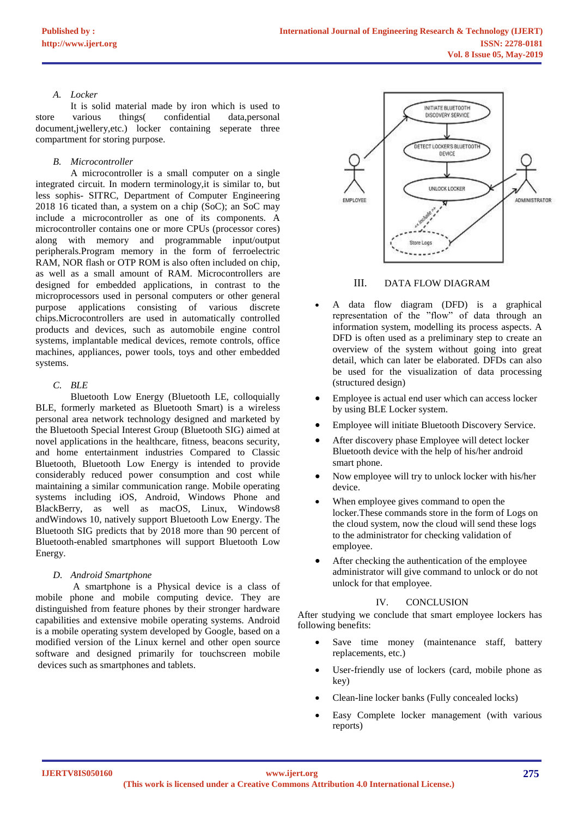## *A. Locker*

It is solid material made by iron which is used to store various things( confidential data,personal document,jwellery,etc.) locker containing seperate three compartment for storing purpose.

## *B. Microcontroller*

A microcontroller is a small computer on a single integrated circuit. In modern terminology,it is similar to, but less sophis- SITRC, Department of Computer Engineering 2018 16 ticated than, a system on a chip (SoC); an SoC may include a microcontroller as one of its components. A microcontroller contains one or more CPUs (processor cores) along with memory and programmable input/output peripherals.Program memory in the form of ferroelectric RAM, NOR flash or OTP ROM is also often included on chip, as well as a small amount of RAM. Microcontrollers are designed for embedded applications, in contrast to the microprocessors used in personal computers or other general purpose applications consisting of various discrete chips.Microcontrollers are used in automatically controlled products and devices, such as automobile engine control systems, implantable medical devices, remote controls, office machines, appliances, power tools, toys and other embedded systems.

## *C. BLE*

Bluetooth Low Energy (Bluetooth LE, colloquially BLE, formerly marketed as Bluetooth Smart) is a wireless personal area network technology designed and marketed by the Bluetooth Special Interest Group (Bluetooth SIG) aimed at novel applications in the healthcare, fitness, beacons security, and home entertainment industries Compared to Classic Bluetooth, Bluetooth Low Energy is intended to provide considerably reduced power consumption and cost while maintaining a similar communication range. Mobile operating systems including iOS, Android, Windows Phone and BlackBerry, as well as macOS, Linux, Windows8 andWindows 10, natively support Bluetooth Low Energy. The Bluetooth SIG predicts that by 2018 more than 90 percent of Bluetooth-enabled smartphones will support Bluetooth Low Energy.

## *D. Android Smartphone*

A smartphone is a Physical device is a class of mobile phone and mobile computing device. They are distinguished from feature phones by their stronger hardware capabilities and extensive mobile operating systems. Android is a mobile operating system developed by Google, based on a modified version of the Linux kernel and other open source software and designed primarily for touchscreen mobile devices such as smartphones and tablets.



# III. DATA FLOW DIAGRAM

- A data flow diagram (DFD) is a graphical representation of the "flow" of data through an information system, modelling its process aspects. A DFD is often used as a preliminary step to create an overview of the system without going into great detail, which can later be elaborated. DFDs can also be used for the visualization of data processing (structured design)
- Employee is actual end user which can access locker by using BLE Locker system.
- Employee will initiate Bluetooth Discovery Service.
- After discovery phase Employee will detect locker Bluetooth device with the help of his/her android smart phone.
- Now employee will try to unlock locker with his/her device.
- When employee gives command to open the locker.These commands store in the form of Logs on the cloud system, now the cloud will send these logs to the administrator for checking validation of employee.
- After checking the authentication of the employee administrator will give command to unlock or do not unlock for that employee.

## IV. CONCLUSION

After studying we conclude that smart employee lockers has following benefits:

- Save time money (maintenance staff, battery replacements, etc.)
- User-friendly use of lockers (card, mobile phone as key)
- Clean-line locker banks (Fully concealed locks)
- Easy Complete locker management (with various reports)